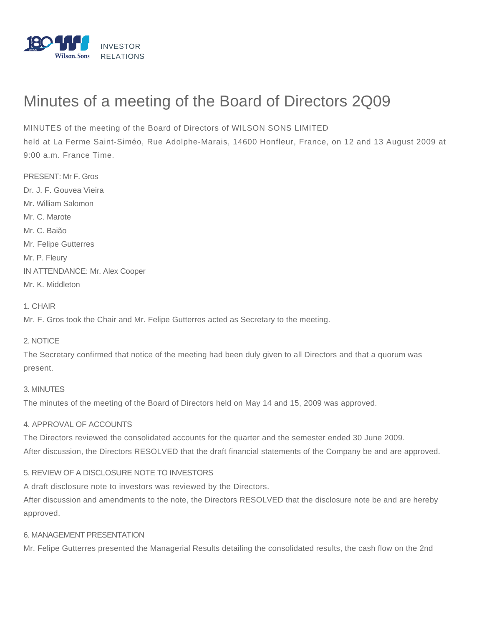

# Minutes of a meeting of the Board of Directors 2Q09

MINUTES of the meeting of the Board of Directors of WILSON SONS LIMITED

held at La Ferme Saint-Siméo, Rue Adolphe-Marais, 14600 Honfleur, France, on 12 and 13 August 2009 at 9:00 a.m. France Time.

PRESENT: Mr F. Gros Dr. J. F. Gouvea Vieira Mr. William Salomon Mr. C. Marote Mr. C. Baião Mr. Felipe Gutterres Mr. P. Fleury IN ATTENDANCE: Mr. Alex Cooper Mr. K. Middleton

1. CHAIR

Mr. F. Gros took the Chair and Mr. Felipe Gutterres acted as Secretary to the meeting.

## 2. NOTICE

The Secretary confirmed that notice of the meeting had been duly given to all Directors and that a quorum was present.

### 3. MINUTES

The minutes of the meeting of the Board of Directors held on May 14 and 15, 2009 was approved.

### 4. APPROVAL OF ACCOUNTS

The Directors reviewed the consolidated accounts for the quarter and the semester ended 30 June 2009. After discussion, the Directors RESOLVED that the draft financial statements of the Company be and are approved.

### 5. REVIEW OF A DISCLOSURE NOTE TO INVESTORS

A draft disclosure note to investors was reviewed by the Directors.

After discussion and amendments to the note, the Directors RESOLVED that the disclosure note be and are hereby approved.

#### 6. MANAGEMENT PRESENTATION

Mr. Felipe Gutterres presented the Managerial Results detailing the consolidated results, the cash flow on the 2nd